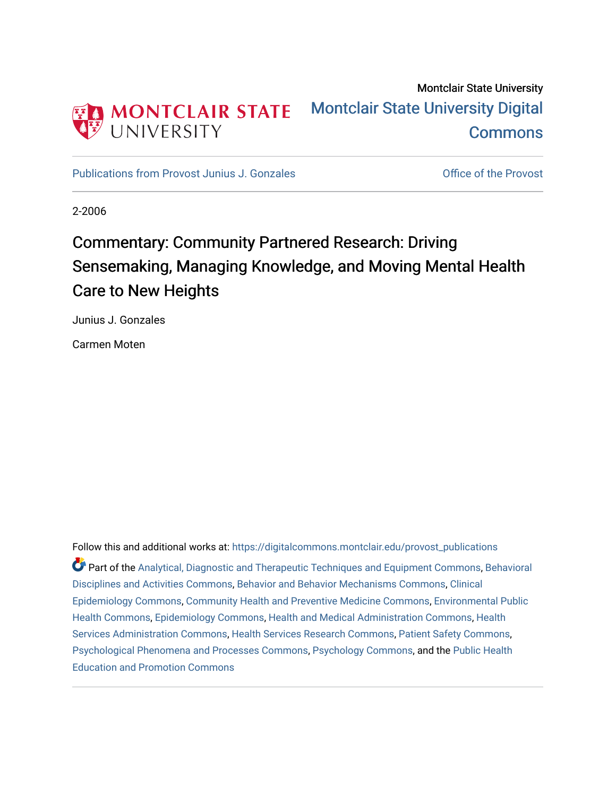

## Montclair State University [Montclair State University Digital](https://digitalcommons.montclair.edu/)  **Commons**

[Publications from Provost Junius J. Gonzales](https://digitalcommons.montclair.edu/provost_publications) **Constanting Constanting Constanting Constanting Constanting Constanting Constanting Constanting Constanting Constanting Constanting Constanting Constanting Constanting Constant** 

2-2006

# Commentary: Community Partnered Research: Driving Sensemaking, Managing Knowledge, and Moving Mental Health Care to New Heights

Junius J. Gonzales

Carmen Moten

Follow this and additional works at: [https://digitalcommons.montclair.edu/provost\\_publications](https://digitalcommons.montclair.edu/provost_publications?utm_source=digitalcommons.montclair.edu%2Fprovost_publications%2F3&utm_medium=PDF&utm_campaign=PDFCoverPages)  Part of the [Analytical, Diagnostic and Therapeutic Techniques and Equipment Commons](http://network.bepress.com/hgg/discipline/899?utm_source=digitalcommons.montclair.edu%2Fprovost_publications%2F3&utm_medium=PDF&utm_campaign=PDFCoverPages), [Behavioral](http://network.bepress.com/hgg/discipline/980?utm_source=digitalcommons.montclair.edu%2Fprovost_publications%2F3&utm_medium=PDF&utm_campaign=PDFCoverPages)  [Disciplines and Activities Commons](http://network.bepress.com/hgg/discipline/980?utm_source=digitalcommons.montclair.edu%2Fprovost_publications%2F3&utm_medium=PDF&utm_campaign=PDFCoverPages), [Behavior and Behavior Mechanisms Commons](http://network.bepress.com/hgg/discipline/963?utm_source=digitalcommons.montclair.edu%2Fprovost_publications%2F3&utm_medium=PDF&utm_campaign=PDFCoverPages), [Clinical](http://network.bepress.com/hgg/discipline/815?utm_source=digitalcommons.montclair.edu%2Fprovost_publications%2F3&utm_medium=PDF&utm_campaign=PDFCoverPages)  [Epidemiology Commons,](http://network.bepress.com/hgg/discipline/815?utm_source=digitalcommons.montclair.edu%2Fprovost_publications%2F3&utm_medium=PDF&utm_campaign=PDFCoverPages) [Community Health and Preventive Medicine Commons](http://network.bepress.com/hgg/discipline/744?utm_source=digitalcommons.montclair.edu%2Fprovost_publications%2F3&utm_medium=PDF&utm_campaign=PDFCoverPages), [Environmental Public](http://network.bepress.com/hgg/discipline/739?utm_source=digitalcommons.montclair.edu%2Fprovost_publications%2F3&utm_medium=PDF&utm_campaign=PDFCoverPages) [Health Commons,](http://network.bepress.com/hgg/discipline/739?utm_source=digitalcommons.montclair.edu%2Fprovost_publications%2F3&utm_medium=PDF&utm_campaign=PDFCoverPages) [Epidemiology Commons,](http://network.bepress.com/hgg/discipline/740?utm_source=digitalcommons.montclair.edu%2Fprovost_publications%2F3&utm_medium=PDF&utm_campaign=PDFCoverPages) [Health and Medical Administration Commons](http://network.bepress.com/hgg/discipline/663?utm_source=digitalcommons.montclair.edu%2Fprovost_publications%2F3&utm_medium=PDF&utm_campaign=PDFCoverPages), [Health](http://network.bepress.com/hgg/discipline/747?utm_source=digitalcommons.montclair.edu%2Fprovost_publications%2F3&utm_medium=PDF&utm_campaign=PDFCoverPages)  [Services Administration Commons,](http://network.bepress.com/hgg/discipline/747?utm_source=digitalcommons.montclair.edu%2Fprovost_publications%2F3&utm_medium=PDF&utm_campaign=PDFCoverPages) [Health Services Research Commons](http://network.bepress.com/hgg/discipline/816?utm_source=digitalcommons.montclair.edu%2Fprovost_publications%2F3&utm_medium=PDF&utm_campaign=PDFCoverPages), [Patient Safety Commons](http://network.bepress.com/hgg/discipline/1410?utm_source=digitalcommons.montclair.edu%2Fprovost_publications%2F3&utm_medium=PDF&utm_campaign=PDFCoverPages), [Psychological Phenomena and Processes Commons](http://network.bepress.com/hgg/discipline/914?utm_source=digitalcommons.montclair.edu%2Fprovost_publications%2F3&utm_medium=PDF&utm_campaign=PDFCoverPages), [Psychology Commons](http://network.bepress.com/hgg/discipline/404?utm_source=digitalcommons.montclair.edu%2Fprovost_publications%2F3&utm_medium=PDF&utm_campaign=PDFCoverPages), and the [Public Health](http://network.bepress.com/hgg/discipline/743?utm_source=digitalcommons.montclair.edu%2Fprovost_publications%2F3&utm_medium=PDF&utm_campaign=PDFCoverPages)  [Education and Promotion Commons](http://network.bepress.com/hgg/discipline/743?utm_source=digitalcommons.montclair.edu%2Fprovost_publications%2F3&utm_medium=PDF&utm_campaign=PDFCoverPages)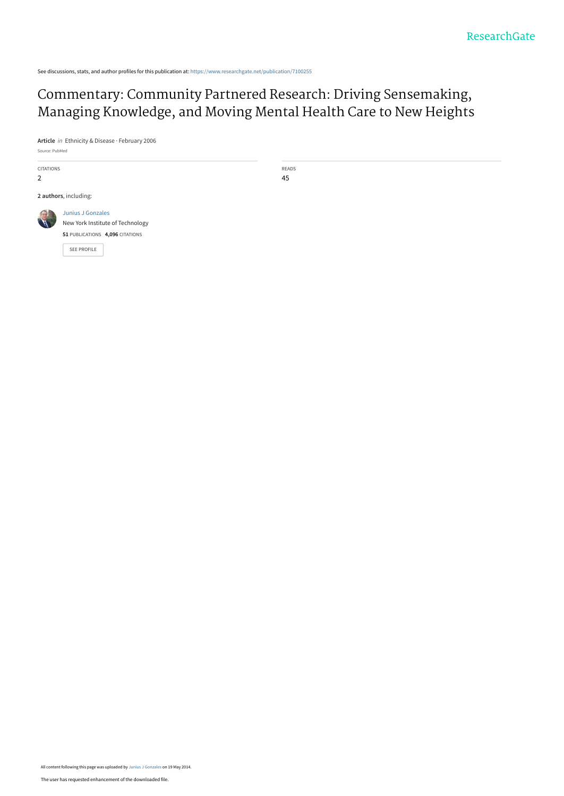See discussions, stats, and author profiles for this publication at: [https://www.researchgate.net/publication/7100255](https://www.researchgate.net/publication/7100255_Commentary_Community_Partnered_Research_Driving_Sensemaking_Managing_Knowledge_and_Moving_Mental_Health_Care_to_New_Heights?enrichId=rgreq-a2e02cc40e6694b363f779b491fd7b43-XXX&enrichSource=Y292ZXJQYWdlOzcxMDAyNTU7QVM6MTA2NDU0NzQwNjM1NjUzQDE0MDIzOTIxOTY1ODA%3D&el=1_x_2&_esc=publicationCoverPdf)

### Commentary: Community Partnered Research: Driving Sensemaking, [Managing Knowledge, and Moving Mental Health Care to New Heights](https://www.researchgate.net/publication/7100255_Commentary_Community_Partnered_Research_Driving_Sensemaking_Managing_Knowledge_and_Moving_Mental_Health_Care_to_New_Heights?enrichId=rgreq-a2e02cc40e6694b363f779b491fd7b43-XXX&enrichSource=Y292ZXJQYWdlOzcxMDAyNTU7QVM6MTA2NDU0NzQwNjM1NjUzQDE0MDIzOTIxOTY1ODA%3D&el=1_x_3&_esc=publicationCoverPdf)

**Article** in Ethnicity & Disease · February 2006

| Source: PubMed        |                                                                                                         |             |
|-----------------------|---------------------------------------------------------------------------------------------------------|-------------|
| CITATIONS<br>2        |                                                                                                         | READS<br>45 |
| 2 authors, including: |                                                                                                         |             |
|                       | Junius J Gonzales<br>New York Institute of Technology<br>51 PUBLICATIONS 4,096 CITATIONS<br>SEE PROFILE |             |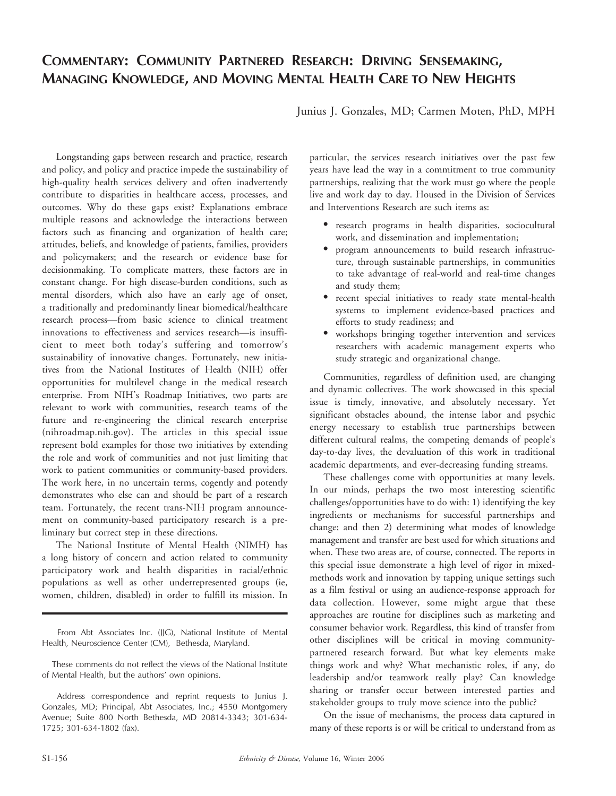### COMMENTARY: COMMUNITY PARTNERED RESEARCH: DRIVING SENSEMAKING, MANAGING KNOWLEDGE, AND MOVING MENTAL HEALTH CARE TO NEW HEIGHTS

Junius J. Gonzales, MD; Carmen Moten, PhD, MPH

Longstanding gaps between research and practice, research and policy, and policy and practice impede the sustainability of high-quality health services delivery and often inadvertently contribute to disparities in healthcare access, processes, and outcomes. Why do these gaps exist? Explanations embrace multiple reasons and acknowledge the interactions between factors such as financing and organization of health care; attitudes, beliefs, and knowledge of patients, families, providers and policymakers; and the research or evidence base for decisionmaking. To complicate matters, these factors are in constant change. For high disease-burden conditions, such as mental disorders, which also have an early age of onset, a traditionally and predominantly linear biomedical/healthcare research process—from basic science to clinical treatment innovations to effectiveness and services research—is insufficient to meet both today's suffering and tomorrow's sustainability of innovative changes. Fortunately, new initiatives from the National Institutes of Health (NIH) offer opportunities for multilevel change in the medical research enterprise. From NIH's Roadmap Initiatives, two parts are relevant to work with communities, research teams of the future and re-engineering the clinical research enterprise (nihroadmap.nih.gov). The articles in this special issue represent bold examples for those two initiatives by extending the role and work of communities and not just limiting that work to patient communities or community-based providers. The work here, in no uncertain terms, cogently and potently demonstrates who else can and should be part of a research team. Fortunately, the recent trans-NIH program announcement on community-based participatory research is a preliminary but correct step in these directions.

The National Institute of Mental Health (NIMH) has a long history of concern and action related to community participatory work and health disparities in racial/ethnic populations as well as other underrepresented groups (ie, women, children, disabled) in order to fulfill its mission. In

particular, the services research initiatives over the past few years have lead the way in a commitment to true community partnerships, realizing that the work must go where the people live and work day to day. Housed in the Division of Services and Interventions Research are such items as:

- N research programs in health disparities, sociocultural work, and dissemination and implementation;
- N program announcements to build research infrastructure, through sustainable partnerships, in communities to take advantage of real-world and real-time changes and study them;
- N recent special initiatives to ready state mental-health systems to implement evidence-based practices and efforts to study readiness; and
- $\bullet$  workshops bringing together intervention and services researchers with academic management experts who study strategic and organizational change.

Communities, regardless of definition used, are changing and dynamic collectives. The work showcased in this special issue is timely, innovative, and absolutely necessary. Yet significant obstacles abound, the intense labor and psychic energy necessary to establish true partnerships between different cultural realms, the competing demands of people's day-to-day lives, the devaluation of this work in traditional academic departments, and ever-decreasing funding streams.

These challenges come with opportunities at many levels. In our minds, perhaps the two most interesting scientific challenges/opportunities have to do with: 1) identifying the key ingredients or mechanisms for successful partnerships and change; and then 2) determining what modes of knowledge management and transfer are best used for which situations and when. These two areas are, of course, connected. The reports in this special issue demonstrate a high level of rigor in mixedmethods work and innovation by tapping unique settings such as a film festival or using an audience-response approach for data collection. However, some might argue that these approaches are routine for disciplines such as marketing and consumer behavior work. Regardless, this kind of transfer from other disciplines will be critical in moving communitypartnered research forward. But what key elements make things work and why? What mechanistic roles, if any, do leadership and/or teamwork really play? Can knowledge sharing or transfer occur between interested parties and stakeholder groups to truly move science into the public?

On the issue of mechanisms, the process data captured in many of these reports is or will be critical to understand from as

From Abt Associates Inc. (JJG), National Institute of Mental Health, Neuroscience Center (CM), Bethesda, Maryland.

These comments do not reflect the views of the National Institute of Mental Health, but the authors' own opinions.

Address correspondence and reprint requests to Junius J. Gonzales, MD; Principal, Abt Associates, Inc.; 4550 Montgomery Avenue; Suite 800 North Bethesda, MD 20814-3343; 301-634- 1725; 301-634-1802 (fax).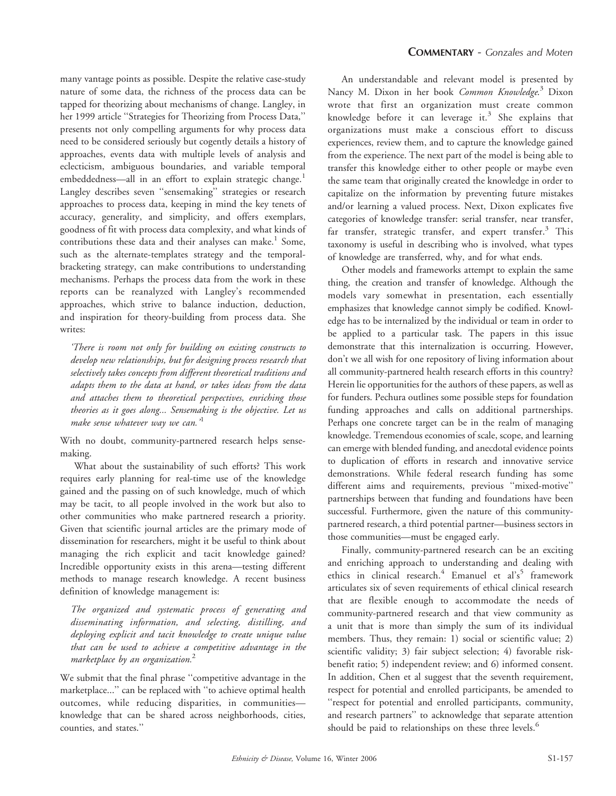many vantage points as possible. Despite the relative case-study nature of some data, the richness of the process data can be tapped for theorizing about mechanisms of change. Langley, in her 1999 article ''Strategies for Theorizing from Process Data,'' presents not only compelling arguments for why process data need to be considered seriously but cogently details a history of approaches, events data with multiple levels of analysis and eclecticism, ambiguous boundaries, and variable temporal embeddedness—all in an effort to explain strategic change.<sup>1</sup> Langley describes seven ''sensemaking'' strategies or research approaches to process data, keeping in mind the key tenets of accuracy, generality, and simplicity, and offers exemplars, goodness of fit with process data complexity, and what kinds of contributions these data and their analyses can make.<sup>1</sup> Some, such as the alternate-templates strategy and the temporalbracketing strategy, can make contributions to understanding mechanisms. Perhaps the process data from the work in these reports can be reanalyzed with Langley's recommended approaches, which strive to balance induction, deduction, and inspiration for theory-building from process data. She writes:

'There is room not only for building on existing constructs to develop new relationships, but for designing process research that selectively takes concepts from different theoretical traditions and adapts them to the data at hand, or takes ideas from the data and attaches them to theoretical perspectives, enriching those theories as it goes along... Sensemaking is the objective. Let us make sense whatever way we can.'<sup>1</sup>

With no doubt, community-partnered research helps sensemaking.

What about the sustainability of such efforts? This work requires early planning for real-time use of the knowledge gained and the passing on of such knowledge, much of which may be tacit, to all people involved in the work but also to other communities who make partnered research a priority. Given that scientific journal articles are the primary mode of dissemination for researchers, might it be useful to think about managing the rich explicit and tacit knowledge gained? Incredible opportunity exists in this arena—testing different methods to manage research knowledge. A recent business definition of knowledge management is:

The organized and systematic process of generating and disseminating information, and selecting, distilling, and deploying explicit and tacit knowledge to create unique value that can be used to achieve a competitive advantage in the marketplace by an organization. $<sup>2</sup>$ </sup>

We submit that the final phrase ''competitive advantage in the marketplace...'' can be replaced with ''to achieve optimal health outcomes, while reducing disparities, in communities knowledge that can be shared across neighborhoods, cities, counties, and states.''

An understandable and relevant model is presented by Nancy M. Dixon in her book Common Knowledge.<sup>3</sup> Dixon wrote that first an organization must create common knowledge before it can leverage it.<sup>3</sup> She explains that organizations must make a conscious effort to discuss experiences, review them, and to capture the knowledge gained from the experience. The next part of the model is being able to transfer this knowledge either to other people or maybe even the same team that originally created the knowledge in order to capitalize on the information by preventing future mistakes and/or learning a valued process. Next, Dixon explicates five categories of knowledge transfer: serial transfer, near transfer, far transfer, strategic transfer, and expert transfer.<sup>3</sup> This taxonomy is useful in describing who is involved, what types of knowledge are transferred, why, and for what ends.

Other models and frameworks attempt to explain the same thing, the creation and transfer of knowledge. Although the models vary somewhat in presentation, each essentially emphasizes that knowledge cannot simply be codified. Knowledge has to be internalized by the individual or team in order to be applied to a particular task. The papers in this issue demonstrate that this internalization is occurring. However, don't we all wish for one repository of living information about all community-partnered health research efforts in this country? Herein lie opportunities for the authors of these papers, as well as for funders. Pechura outlines some possible steps for foundation funding approaches and calls on additional partnerships. Perhaps one concrete target can be in the realm of managing knowledge. Tremendous economies of scale, scope, and learning can emerge with blended funding, and anecdotal evidence points to duplication of efforts in research and innovative service demonstrations. While federal research funding has some different aims and requirements, previous ''mixed-motive'' partnerships between that funding and foundations have been successful. Furthermore, given the nature of this communitypartnered research, a third potential partner—business sectors in those communities—must be engaged early.

Finally, community-partnered research can be an exciting and enriching approach to understanding and dealing with ethics in clinical research.<sup>4</sup> Emanuel et al's<sup>5</sup> framework articulates six of seven requirements of ethical clinical research that are flexible enough to accommodate the needs of community-partnered research and that view community as a unit that is more than simply the sum of its individual members. Thus, they remain: 1) social or scientific value; 2) scientific validity; 3) fair subject selection; 4) favorable riskbenefit ratio; 5) independent review; and 6) informed consent. In addition, Chen et al suggest that the seventh requirement, respect for potential and enrolled participants, be amended to ''respect for potential and enrolled participants, community, and research partners'' to acknowledge that separate attention should be paid to relationships on these three levels.<sup>6</sup>